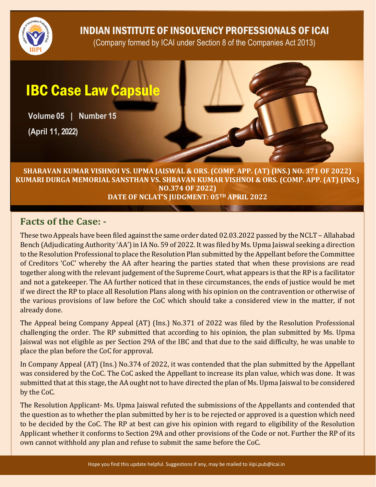

INDIAN INSTITUTE OF INSOLVENCY PROFESSIONALS OF ICAI

(Company formed by ICAI under Section 8 of the Companies Act 2013)

# IBC Case Law Capsule

**Volume 05 | Number 15**

**(April 11, 2022)**



#### **SHARAVAN KUMAR VISHNOI VS. UPMA JAISWAL & ORS. (COMP. APP. (AT) (INS.) NO. 371 OF 2022) KUMARI DURGA MEMORIAL SANSTHAN VS. SHRAVAN KUMAR VISHNOI & ORS. (COMP. APP. (AT) (INS.) NO.374 OF 2022) DATE OF NCLAT'S JUDGMENT: 05TH APRIL 2022**

#### **Facts of the Case: -**

These two Appeals have been filed against the same order dated 02.03.2022 passed by the NCLT – Allahabad Bench (Adjudicating Authority 'AA') in IA No. 59 of 2022. It was filed by Ms. Upma Jaiswal seeking a direction to the Resolution Professional to place the Resolution Plan submitted by the Appellant before the Committee of Creditors 'CoC' whereby the AA after hearing the parties stated that when these provisions are read together along with the relevant judgement of the Supreme Court, what appears is that the RP is a facilitator and not a gatekeeper. The AA further noticed that in these circumstances, the ends of justice would be met if we direct the RP to place all Resolution Plans along with his opinion on the contravention or otherwise of the various provisions of law before the CoC which should take a considered view in the matter, if not already done.

The Appeal being Company Appeal (AT) (Ins.) No.371 of 2022 was filed by the Resolution Professional challenging the order. The RP submitted that according to his opinion, the plan submitted by Ms. Upma Jaiswal was not eligible as per Section 29A of the IBC and that due to the said difficulty, he was unable to place the plan before the CoC for approval.

In Company Appeal (AT) (Ins.) No.374 of 2022, it was contended that the plan submitted by the Appellant was considered by the CoC. The CoC asked the Appellant to increase its plan value, which was done. It was submitted that at this stage, the AA ought not to have directed the plan of Ms. Upma Jaiswal to be considered by the CoC.

The Resolution Applicant- Ms. Upma Jaiswal refuted the submissions of the Appellants and contended that the question as to whether the plan submitted by her is to be rejected or approved is a question which need to be decided by the CoC. The RP at best can give his opinion with regard to eligibility of the Resolution Applicant whether it conforms to Section 29A and other provisions of the Code or not. Further the RP of its own cannot withhold any plan and refuse to submit the same before the CoC.